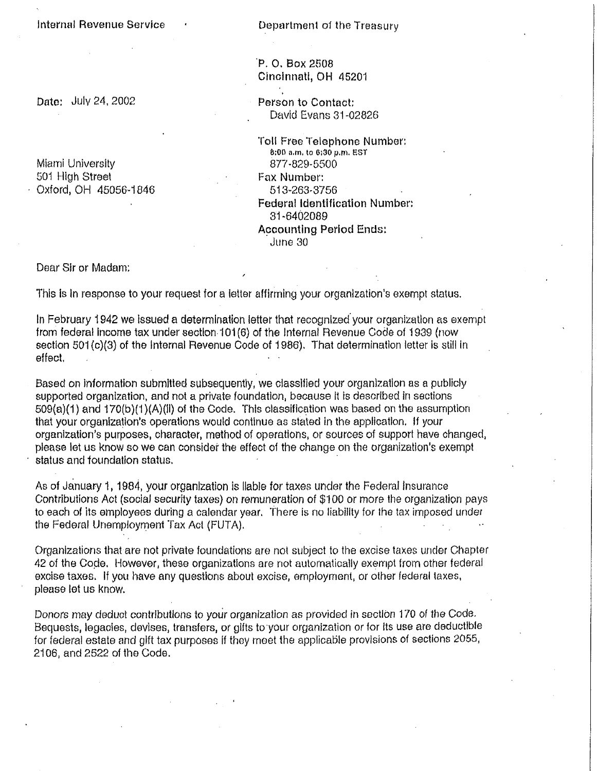Internal Revenue Service (and Community Department of the Treasury

## P. O. Box 2508 Cincinnati, OH 45201

Date: July 24, 2002 **Person to Contact:** David Evans 31-02826

> Toll Free Telephone Number: 8:00 a.m. to 6:30 p.m. EST 877-829-5500

Fax Number: 513-263-3756 Federal Identification Number: 31-6402089 Accounting Period Ends: June 30

Dear Sir or Madam:

This is in response to your request for a letter affirming your organization's exempt status.

In February 1942 we issued a determination letter that recognized your organization as exempt from federal income tax under section 101(6) of the internal Revenue Code of 1939 (now section 501 (c)(3) of the Internal Revenue Code of 1986). That determination letter is still in effect.

Based on information submitted subsequently, we classified your organization as a publicly supported organization, and not a private foundation, because it is described in sections 509(a)(1) and 170(b)(1)(A)(II) of the Code. This classification was based on the assumption that your organization's operations would continue as stated in the application, if your organization's purposes, character, method of operations, or sources of support have changed, please let us know so we can consider the effect of the change on the organization's exempt status and foundation status.

As of January 1, 1984, your organization is liable for taxes under the Federal Insurance Contributions Act (social security taxes) on remuneration of \$100 or more the organization pays to each of its employees during a calendar year. There is no liability for the tax imposed under the Federal Unemployment Tax Act (FUTA).

Organizations that are not private foundations are not subject to the excise taxes under Chapter 42 of the Code. However, these organizations are not automatically exempt from other federal excise taxes. If you have any questions about excise, employment, or other federal taxes, please let us know.

Donors may deduct contributions to your organization as provided in section 170 of the Code. Bequests, legacies, devises, transfers, or gifts to your organization or for its use are deductible for federal estate and gift tax purposes if they meet the applicable provisions of sections 2055, 2106, and 2522 of the Code.

Miami University 501 High Street Oxford, OH 45056-1846